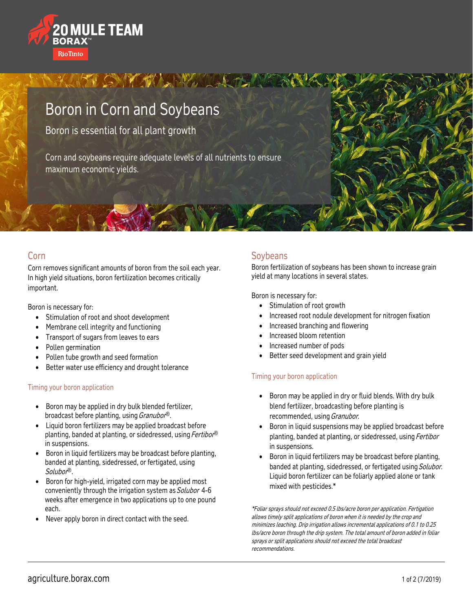

# Boron in Corn and Soybeans

Boron is essential for all plant growth

Corn and soybeans require adequate levels of all nutrients to ensure maximum economic yields.

ANTI ONY WANT

### Corn

Corn removes significant amounts of boron from the soil each year. In high yield situations, boron fertilization becomes critically important.

Boron is necessary for:

- Stimulation of root and shoot development
- Membrane cell integrity and functioning
- Transport of sugars from leaves to ears
- Pollen germination
- Pollen tube growth and seed formation
- Better water use efficiency and drought tolerance

#### Timing your boron application

- Boron may be applied in dry bulk blended fertilizer, broadcast before planting, using *Granubor®*.
- Liquid boron fertilizers may be applied broadcast before planting, banded at planting, or sidedressed, using Fertibor® in suspensions.
- Boron in liquid fertilizers may be broadcast before planting, banded at planting, sidedressed, or fertigated, using Solubor®.
- Boron for high-yield, irrigated corn may be applied most conveniently through the irrigation system as Solubor 4-6 weeks after emergence in two applications up to one pound each.
- Never apply boron in direct contact with the seed.

# **Soybeans**

Boron fertilization of soybeans has been shown to increase grain yield at many locations in several states.

Boron is necessary for:

- Stimulation of root growth
- Increased root nodule development for nitrogen fixation
- Increased branching and flowering
- Increased bloom retention
- Increased number of pods
- Better seed development and grain yield

#### Timing your boron application

- Boron may be applied in dry or fluid blends. With dry bulk blend fertilizer, broadcasting before planting is recommended, using Granubor.
- Boron in liquid suspensions may be applied broadcast before planting, banded at planting, or sidedressed, using Fertibor in suspensions.
- Boron in liquid fertilizers may be broadcast before planting, banded at planting, sidedressed, or fertigated using Solubor. Liquid boron fertilizer can be foliarly applied alone or tank mixed with pesticides.\*

\*Foliar sprays should not exceed 0.5 lbs/acre boron per application. Fertigation allows timely split applications of boron when it is needed by the crop and minimizes leaching. Drip irrigation allows incremental applications of 0.1 to 0.25 lbs/acre boron through the drip system. The total amount of boron added in foliar sprays or split applications should not exceed the total broadcast recommendations.